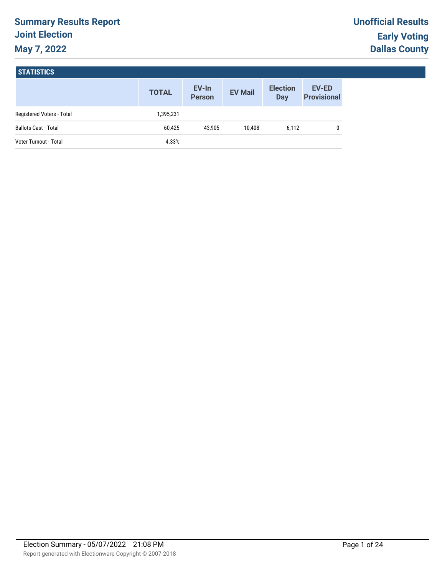# **Summary Results Report Joint Election May 7, 2022**

#### **STATISTICS**

|                             | <b>TOTAL</b> | EV-In<br><b>Person</b> | <b>EV Mail</b> | <b>Election</b><br>Day | <b>EV-ED</b><br><b>Provisional</b> |
|-----------------------------|--------------|------------------------|----------------|------------------------|------------------------------------|
| Registered Voters - Total   | 1,395,231    |                        |                |                        |                                    |
| <b>Ballots Cast - Total</b> | 60,425       | 43.905                 | 10.408         | 6,112                  | 0                                  |
| Voter Turnout - Total       | 4.33%        |                        |                |                        |                                    |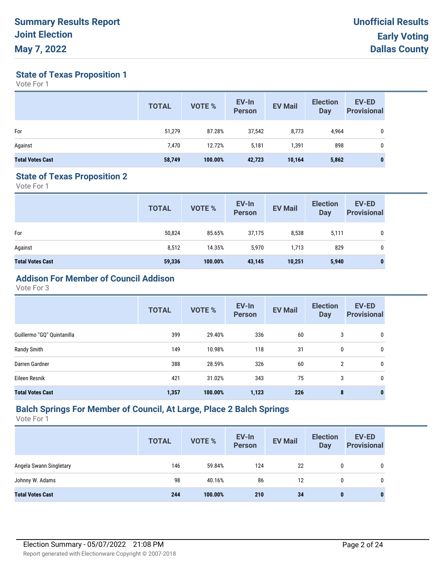**State of Texas Proposition 1**

Vote For 1

|                         | <b>TOTAL</b> | <b>VOTE %</b> | EV-In<br><b>Person</b> | <b>EV Mail</b> | <b>Election</b><br><b>Day</b> | <b>EV-ED</b><br><b>Provisional</b> |
|-------------------------|--------------|---------------|------------------------|----------------|-------------------------------|------------------------------------|
| For                     | 51,279       | 87.28%        | 37,542                 | 8,773          | 4,964                         | 0                                  |
| Against                 | 7,470        | 12.72%        | 5,181                  | 391,           | 898                           | 0                                  |
| <b>Total Votes Cast</b> | 58,749       | 100.00%       | 42,723                 | 10,164         | 5,862                         | 0                                  |

#### **State of Texas Proposition 2**

Vote For 1

|                         | <b>TOTAL</b> | <b>VOTE %</b> | EV-In<br>Person | <b>EV Mail</b> | <b>Election</b><br><b>Day</b> | <b>EV-ED</b><br><b>Provisional</b> |
|-------------------------|--------------|---------------|-----------------|----------------|-------------------------------|------------------------------------|
| For                     | 50,824       | 85.65%        | 37,175          | 8,538          | 5,111                         | 0                                  |
| Against                 | 8,512        | 14.35%        | 5,970           | 1,713          | 829                           | 0                                  |
| <b>Total Votes Cast</b> | 59,336       | 100.00%       | 43,145          | 10,251         | 5,940                         | $\bf{0}$                           |

# **Addison For Member of Council Addison**

Vote For 3

|                            | <b>TOTAL</b> | VOTE %  | EV-In<br><b>Person</b> | <b>EV Mail</b> | <b>Election</b><br><b>Day</b> | EV-ED<br><b>Provisional</b> |
|----------------------------|--------------|---------|------------------------|----------------|-------------------------------|-----------------------------|
| Guillermo "GQ" Quintanilla | 399          | 29.40%  | 336                    | 60             | 3                             | 0                           |
| Randy Smith                | 149          | 10.98%  | 118                    | 31             | 0                             | 0                           |
| Darren Gardner             | 388          | 28.59%  | 326                    | 60             | $\overline{2}$                | 0                           |
| Eileen Resnik              | 421          | 31.02%  | 343                    | 75             | 3                             | 0                           |
| <b>Total Votes Cast</b>    | 1,357        | 100.00% | 1,123                  | 226            | 8                             | $\mathbf{0}$                |

## **Balch Springs For Member of Council, At Large, Place 2 Balch Springs**

|                         | <b>TOTAL</b> | <b>VOTE %</b> | EV-In<br><b>Person</b> | <b>EV Mail</b> | <b>Election</b><br><b>Day</b> | <b>EV-ED</b><br><b>Provisional</b> |
|-------------------------|--------------|---------------|------------------------|----------------|-------------------------------|------------------------------------|
| Angela Swann Singletary | 146          | 59.84%        | 124                    | 22             | 0                             |                                    |
| Johnny W. Adams         | 98           | 40.16%        | 86                     | 12             | 0                             |                                    |
| <b>Total Votes Cast</b> | 244          | 100.00%       | 210                    | 34             | $\mathbf{0}$                  | 0                                  |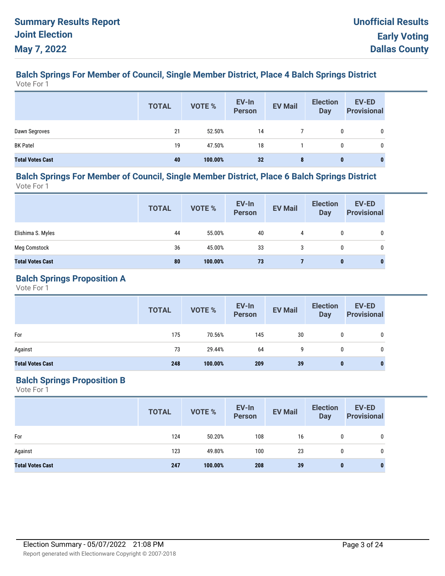#### **Balch Springs For Member of Council, Single Member District, Place 4 Balch Springs District** Vote For 1

|                         | <b>TOTAL</b> | VOTE %  | EV-In<br>Person | <b>EV Mail</b> | <b>Election</b><br><b>Day</b> | <b>EV-ED</b><br><b>Provisional</b> |
|-------------------------|--------------|---------|-----------------|----------------|-------------------------------|------------------------------------|
| Dawn Segroves           | 21           | 52.50%  | 14              |                | 0                             |                                    |
| <b>BK Patel</b>         | 19           | 47.50%  | 18              |                | 0                             | 0                                  |
| <b>Total Votes Cast</b> | 40           | 100.00% | 32              | 8              | $\bf{0}$                      | $\bf{0}$                           |

#### **Balch Springs For Member of Council, Single Member District, Place 6 Balch Springs District** Vote For 1

**EV-In Person Election Day TOTAL EV Mail EV-ED Provisional EV-In**<br> **Provisional** EV Mail Day Provisional Elishima S. Myles 44 55.00% 40 4 0 0 Meg Comstock 36 45.00% 33 3 0 0 **Total Votes Cast 80 100.00% 73 7 0 0**

## **Balch Springs Proposition A**

Vote For 1

|                         | <b>TOTAL</b> | VOTE %  | EV-In<br>Person | <b>EV Mail</b> | <b>Election</b><br>Day | <b>EV-ED</b><br><b>Provisional</b> |
|-------------------------|--------------|---------|-----------------|----------------|------------------------|------------------------------------|
| For                     | 175          | 70.56%  | 145             | 30             | 0                      | 0                                  |
| Against                 | 73           | 29.44%  | 64              | 9              | 0                      | 0                                  |
| <b>Total Votes Cast</b> | 248          | 100.00% | 209             | 39             | $\bf{0}$               | 0                                  |

## **Balch Springs Proposition B**

|                         | <b>TOTAL</b> | VOTE %  | EV-In<br>Person | <b>EV Mail</b> | <b>Election</b><br><b>Day</b> | <b>EV-ED</b><br><b>Provisional</b> |
|-------------------------|--------------|---------|-----------------|----------------|-------------------------------|------------------------------------|
| For                     | 124          | 50.20%  | 108             | 16             | 0                             | 0                                  |
| Against                 | 123          | 49.80%  | 100             | 23             | $\mathbf{0}$                  | 0                                  |
| <b>Total Votes Cast</b> | 247          | 100.00% | 208             | 39             | 0                             | 0                                  |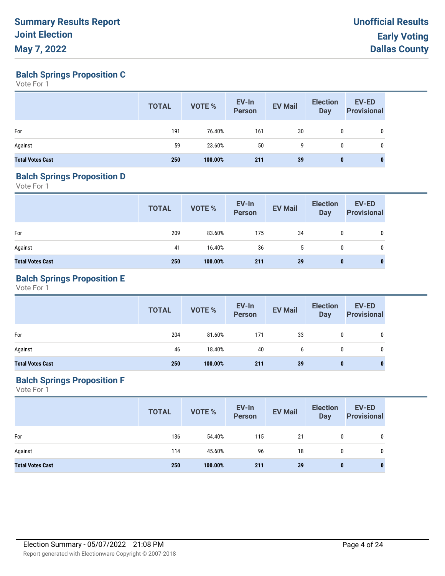**Balch Springs Proposition C**

Vote For 1

|                         | <b>TOTAL</b> | VOTE %  | EV-In<br>Person | <b>EV Mail</b> | <b>Election</b><br>Day | <b>EV-ED</b><br><b>Provisional</b> |
|-------------------------|--------------|---------|-----------------|----------------|------------------------|------------------------------------|
| For                     | 191          | 76.40%  | 161             | 30             | 0                      | 0                                  |
| Against                 | 59           | 23.60%  | 50              | 9              | 0                      | 0                                  |
| <b>Total Votes Cast</b> | 250          | 100.00% | 211             | 39             | $\bf{0}$               |                                    |

#### **Balch Springs Proposition D**

Vote For 1

|                         | <b>TOTAL</b> | VOTE %  | EV-In<br>Person | <b>EV Mail</b> | <b>Election</b><br>Day | <b>EV-ED</b><br><b>Provisional</b> |
|-------------------------|--------------|---------|-----------------|----------------|------------------------|------------------------------------|
| For                     | 209          | 83.60%  | 175             | 34             | 0                      | 0                                  |
| Against                 | 41           | 16.40%  | 36              | 5              | 0                      | 0                                  |
| <b>Total Votes Cast</b> | 250          | 100.00% | 211             | 39             | $\bf{0}$               | $\bf{0}$                           |

## **Balch Springs Proposition E**

Vote For 1

|                         | <b>TOTAL</b> | VOTE %  | EV-In<br>Person | <b>EV Mail</b> | <b>Election</b><br><b>Day</b> | <b>EV-ED</b><br><b>Provisional</b> |
|-------------------------|--------------|---------|-----------------|----------------|-------------------------------|------------------------------------|
| For                     | 204          | 81.60%  | 171             | 33             | 0                             | 0                                  |
| Against                 | 46           | 18.40%  | 40              | b              | $\mathbf{0}$                  | 0                                  |
| <b>Total Votes Cast</b> | 250          | 100.00% | 211             | 39             | 0                             | 0                                  |

## **Balch Springs Proposition F**

|                         | <b>TOTAL</b> | VOTE %  | EV-In<br>Person | <b>EV Mail</b> | <b>Election</b><br><b>Day</b> | <b>EV-ED</b><br><b>Provisional</b> |
|-------------------------|--------------|---------|-----------------|----------------|-------------------------------|------------------------------------|
| For                     | 136          | 54.40%  | 115             | 21             | 0                             | 0                                  |
| Against                 | 114          | 45.60%  | 96              | 18             | $\mathbf{0}$                  | 0                                  |
| <b>Total Votes Cast</b> | 250          | 100.00% | 211             | 39             | $\bf{0}$                      | $\bf{0}$                           |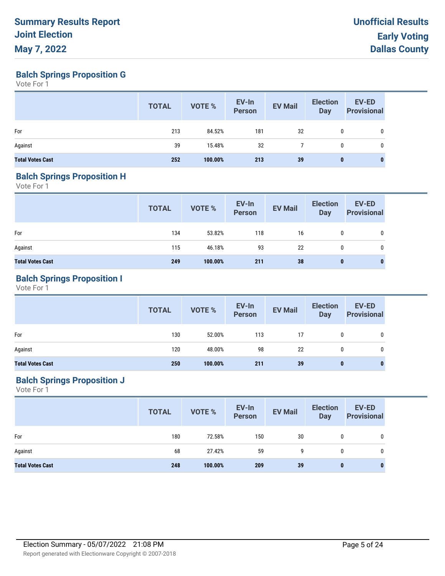**Balch Springs Proposition G**

Vote For 1

|                         | <b>TOTAL</b> | VOTE %  | EV-In<br><b>Person</b> | <b>EV Mail</b> | <b>Election</b><br><b>Day</b> | EV-ED<br><b>Provisional</b> |
|-------------------------|--------------|---------|------------------------|----------------|-------------------------------|-----------------------------|
| For                     | 213          | 84.52%  | 181                    | 32             | 0                             | 0                           |
| Against                 | 39           | 15.48%  | 32                     |                | 0                             | 0                           |
| <b>Total Votes Cast</b> | 252          | 100.00% | 213                    | 39             | 0                             | $\bf{0}$                    |

#### **Balch Springs Proposition H**

Vote For 1

|                         | <b>TOTAL</b> | VOTE %  | EV-In<br>Person | <b>EV Mail</b> | <b>Election</b><br>Day | <b>EV-ED</b><br><b>Provisional</b> |
|-------------------------|--------------|---------|-----------------|----------------|------------------------|------------------------------------|
| For                     | 134          | 53.82%  | 118             | 16             | $\mathbf{0}$           | 0                                  |
| Against                 | 115          | 46.18%  | 93              | 22             | $\mathbf{0}$           | 0                                  |
| <b>Total Votes Cast</b> | 249          | 100.00% | 211             | 38             | $\bf{0}$               | 0                                  |

## **Balch Springs Proposition I**

Vote For 1

|                         | <b>TOTAL</b> | VOTE %  | EV-In<br>Person | <b>EV Mail</b> | <b>Election</b><br><b>Day</b> | <b>EV-ED</b><br><b>Provisional</b> |
|-------------------------|--------------|---------|-----------------|----------------|-------------------------------|------------------------------------|
| For                     | 130          | 52.00%  | 113             | 17             | $\mathbf{0}$                  | 0                                  |
| Against                 | 120          | 48.00%  | 98              | 22             | 0                             | 0                                  |
| <b>Total Votes Cast</b> | 250          | 100.00% | 211             | 39             | $\bf{0}$                      |                                    |

## **Balch Springs Proposition J**

|                         | <b>TOTAL</b> | VOTE %  | EV-In<br>Person | <b>EV Mail</b> | <b>Election</b><br><b>Day</b> | <b>EV-ED</b><br><b>Provisional</b> |
|-------------------------|--------------|---------|-----------------|----------------|-------------------------------|------------------------------------|
| For                     | 180          | 72.58%  | 150             | 30             | 0                             |                                    |
| Against                 | 68           | 27.42%  | 59              | 9              | $\mathbf{0}$                  | 0                                  |
| <b>Total Votes Cast</b> | 248          | 100.00% | 209             | 39             | $\bf{0}$                      | 0                                  |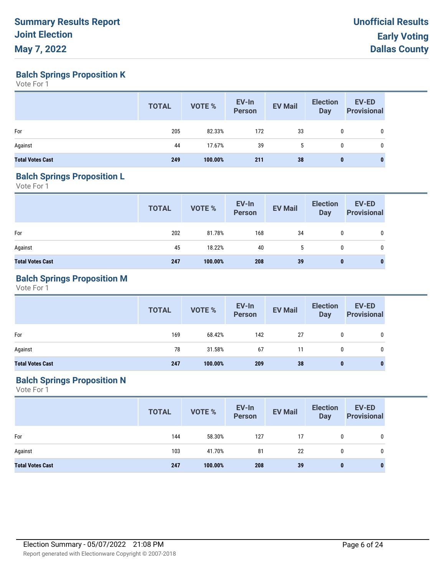**Balch Springs Proposition K**

Vote For 1

|                         | <b>TOTAL</b> | VOTE %  | EV-In<br><b>Person</b> | <b>EV Mail</b> | <b>Election</b><br><b>Day</b> | EV-ED<br><b>Provisional</b> |
|-------------------------|--------------|---------|------------------------|----------------|-------------------------------|-----------------------------|
| For                     | 205          | 82.33%  | 172                    | 33             | 0                             | 0                           |
| Against                 | 44           | 17.67%  | 39                     |                | 0                             | 0                           |
| <b>Total Votes Cast</b> | 249          | 100.00% | 211                    | 38             | $\mathbf{0}$                  | 0                           |

#### **Balch Springs Proposition L**

Vote For 1

|                         | <b>TOTAL</b> | VOTE %  | EV-In<br>Person | <b>EV Mail</b> | <b>Election</b><br>Day | <b>EV-ED</b><br><b>Provisional</b> |
|-------------------------|--------------|---------|-----------------|----------------|------------------------|------------------------------------|
| For                     | 202          | 81.78%  | 168             | 34             | 0                      | 0                                  |
| Against                 | 45           | 18.22%  | 40              | 5              | 0                      | 0                                  |
| <b>Total Votes Cast</b> | 247          | 100.00% | 208             | 39             | $\bf{0}$               | $\bf{0}$                           |

## **Balch Springs Proposition M**

Vote For 1

|                         | <b>TOTAL</b> | <b>VOTE %</b> | EV-In<br>Person | <b>EV Mail</b> | <b>Election</b><br>Day | <b>EV-ED</b><br><b>Provisional</b> |
|-------------------------|--------------|---------------|-----------------|----------------|------------------------|------------------------------------|
| For                     | 169          | 68.42%        | 142             | 27             | $\mathbf{0}$           | 0                                  |
| Against                 | 78           | 31.58%        | 67              | 11             | $\mathbf{0}$           | 0                                  |
| <b>Total Votes Cast</b> | 247          | 100.00%       | 209             | 38             | $\bf{0}$               | 0                                  |

## **Balch Springs Proposition N**

|                         | <b>TOTAL</b> | VOTE %  | EV-In<br>Person | <b>EV Mail</b> | <b>Election</b><br><b>Day</b> | <b>EV-ED</b><br><b>Provisional</b> |
|-------------------------|--------------|---------|-----------------|----------------|-------------------------------|------------------------------------|
| For                     | 144          | 58.30%  | 127             | 17             | 0                             | $\mathbf{0}$                       |
| Against                 | 103          | 41.70%  | 81              | 22             | $\mathbf{0}$                  | 0                                  |
| <b>Total Votes Cast</b> | 247          | 100.00% | 208             | 39             | $\bf{0}$                      | 0                                  |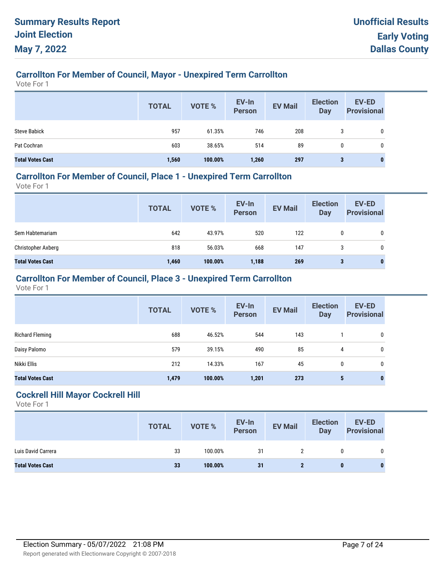# **Carrollton For Member of Council, Mayor - Unexpired Term Carrollton**

Vote For 1

|                         | <b>TOTAL</b> | <b>VOTE %</b> | EV-In<br><b>Person</b> | <b>EV Mail</b> | <b>Election</b><br><b>Day</b> | EV-ED<br><b>Provisional</b> |
|-------------------------|--------------|---------------|------------------------|----------------|-------------------------------|-----------------------------|
| <b>Steve Babick</b>     | 957          | 61.35%        | 746                    | 208            | 3                             | 0                           |
| Pat Cochran             | 603          | 38.65%        | 514                    | 89             | 0                             | 0                           |
| <b>Total Votes Cast</b> | 1,560        | 100.00%       | 1,260                  | 297            | 3                             | 0                           |

#### **Carrollton For Member of Council, Place 1 - Unexpired Term Carrollton**

Vote For 1

| <b>TOTAL</b> | VOTE %  | EV-In<br>Person | <b>EV Mail</b> | <b>Election</b><br>Day | <b>EV-ED</b><br><b>Provisional</b> |
|--------------|---------|-----------------|----------------|------------------------|------------------------------------|
| 642          | 43.97%  | 520             | 122            | 0                      | 0                                  |
| 818          | 56.03%  | 668             | 147            | 3                      | 0                                  |
| 1,460        | 100.00% | 1,188           | 269            | 3                      | U                                  |
|              |         |                 |                |                        |                                    |

## **Carrollton For Member of Council, Place 3 - Unexpired Term Carrollton**

Vote For 1

|                         | <b>TOTAL</b> | VOTE %  | EV-In<br><b>Person</b> | <b>EV Mail</b> | <b>Election</b><br><b>Day</b> | EV-ED<br><b>Provisional</b> |
|-------------------------|--------------|---------|------------------------|----------------|-------------------------------|-----------------------------|
| Richard Fleming         | 688          | 46.52%  | 544                    | 143            |                               | 0                           |
| Daisy Palomo            | 579          | 39.15%  | 490                    | 85             | 4                             | 0                           |
| Nikki Ellis             | 212          | 14.33%  | 167                    | 45             | 0                             | 0                           |
| <b>Total Votes Cast</b> | 1,479        | 100.00% | 1,201                  | 273            | 5                             | $\bf{0}$                    |

### **Cockrell Hill Mayor Cockrell Hill**

|                         | <b>TOTAL</b> | <b>VOTE %</b> | EV-In<br>Person | <b>EV Mail</b> | <b>Election</b><br><b>Day</b> | <b>EV-ED</b><br><b>Provisional</b> |
|-------------------------|--------------|---------------|-----------------|----------------|-------------------------------|------------------------------------|
| Luis David Carrera      | 33           | 100.00%       | 31              |                |                               |                                    |
| <b>Total Votes Cast</b> | 33           | 100.00%       | 31              |                | 0                             |                                    |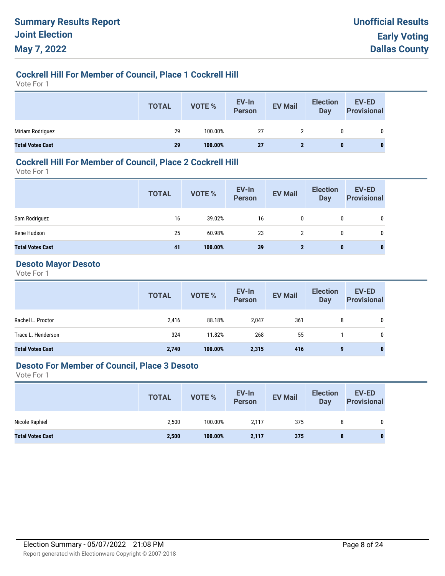## **Cockrell Hill For Member of Council, Place 1 Cockrell Hill**

Vote For 1

|                         | <b>TOTAL</b> | <b>VOTE %</b> | EV-In<br>Person | <b>EV Mail</b> | <b>Election</b><br><b>Day</b> | <b>EV-ED</b><br><b>Provisional</b> |
|-------------------------|--------------|---------------|-----------------|----------------|-------------------------------|------------------------------------|
| Miriam Rodriguez        | 29           | 100.00%       | 27              |                | 0                             | 0                                  |
| <b>Total Votes Cast</b> | 29           | 100.00%       | <b>27</b>       |                | 0                             |                                    |

## **Cockrell Hill For Member of Council, Place 2 Cockrell Hill**

Vote For 1

|                         | <b>TOTAL</b> | <b>VOTE %</b> | EV-In<br>Person | <b>EV Mail</b> | <b>Election</b><br>Day | <b>EV-ED</b><br><b>Provisional</b> |
|-------------------------|--------------|---------------|-----------------|----------------|------------------------|------------------------------------|
| Sam Rodriguez           | 16           | 39.02%        | 16              | 0              | 0                      | 0                                  |
| Rene Hudson             | 25           | 60.98%        | 23              | 2              | 0                      | 0                                  |
| <b>Total Votes Cast</b> | 41           | 100.00%       | 39              | $\mathbf{2}$   | $\mathbf{0}$           | $\mathbf{0}$                       |

# **Desoto Mayor Desoto**

Vote For 1

|                         | <b>TOTAL</b> | VOTE %  | EV-In<br>Person | <b>EV Mail</b> | <b>Election</b><br>Day | <b>EV-ED</b><br><b>Provisional</b> |
|-------------------------|--------------|---------|-----------------|----------------|------------------------|------------------------------------|
| Rachel L. Proctor       | 2,416        | 88.18%  | 2,047           | 361            | 8                      | 0                                  |
| Trace L. Henderson      | 324          | 11.82%  | 268             | 55             |                        | 0                                  |
| <b>Total Votes Cast</b> | 2,740        | 100.00% | 2,315           | 416            | 9                      |                                    |

## **Desoto For Member of Council, Place 3 Desoto**

|                         | <b>TOTAL</b> | VOTE %  | EV-In<br>Person | <b>EV Mail</b> | <b>Election</b><br>Day | EV-ED<br><b>Provisional</b> |
|-------------------------|--------------|---------|-----------------|----------------|------------------------|-----------------------------|
| Nicole Raphiel          | 2,500        | 100.00% | 2.117           | 375            | 8                      |                             |
| <b>Total Votes Cast</b> | 2,500        | 100.00% | 2,117           | 375            | 8                      |                             |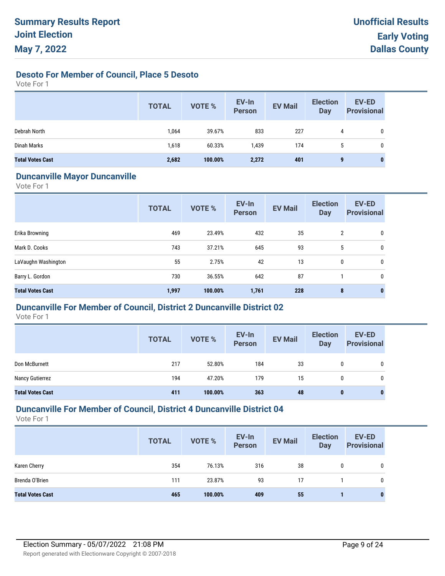## **Desoto For Member of Council, Place 5 Desoto**

Vote For 1

|                         | <b>TOTAL</b> | <b>VOTE %</b> | EV-In<br><b>Person</b> | <b>EV Mail</b> | <b>Election</b><br>Day | EV-ED<br><b>Provisional</b> |
|-------------------------|--------------|---------------|------------------------|----------------|------------------------|-----------------------------|
| Debrah North            | 1,064        | 39.67%        | 833                    | 227            | 4                      | 0                           |
| Dinah Marks             | 1,618        | 60.33%        | 1,439                  | 174            | 5                      | 0                           |
| <b>Total Votes Cast</b> | 2,682        | 100.00%       | 2,272                  | 401            | 9                      | $\bf{0}$                    |

#### **Duncanville Mayor Duncanville**

Vote For 1

|                         | <b>TOTAL</b> | VOTE %  | EV-In<br><b>Person</b> | <b>EV Mail</b> | <b>Election</b><br><b>Day</b> | <b>EV-ED</b><br><b>Provisional</b> |
|-------------------------|--------------|---------|------------------------|----------------|-------------------------------|------------------------------------|
| Erika Browning          | 469          | 23.49%  | 432                    | 35             | 2                             | 0                                  |
| Mark D. Cooks           | 743          | 37.21%  | 645                    | 93             | 5                             | 0                                  |
| LaVaughn Washington     | 55           | 2.75%   | 42                     | 13             | 0                             | 0                                  |
| Barry L. Gordon         | 730          | 36.55%  | 642                    | 87             |                               | 0                                  |
| <b>Total Votes Cast</b> | 1,997        | 100.00% | 1,761                  | 228            | 8                             | $\mathbf 0$                        |

## **Duncanville For Member of Council, District 2 Duncanville District 02**

Vote For 1

|                         | <b>TOTAL</b> | <b>VOTE %</b> | EV-In<br><b>Person</b> | <b>EV Mail</b> | <b>Election</b><br>Day | EV-ED<br><b>Provisional</b> |
|-------------------------|--------------|---------------|------------------------|----------------|------------------------|-----------------------------|
| Don McBurnett           | 217          | 52.80%        | 184                    | 33             | 0                      | 0                           |
| Nancy Gutierrez         | 194          | 47.20%        | 179                    | 15             | 0                      | 0                           |
| <b>Total Votes Cast</b> | 411          | 100.00%       | 363                    | 48             | 0                      | $\mathbf{0}$                |

## **Duncanville For Member of Council, District 4 Duncanville District 04**

|                         | <b>TOTAL</b> | <b>VOTE %</b> | EV-In<br><b>Person</b> | <b>EV Mail</b> | <b>Election</b><br><b>Day</b> | <b>EV-ED</b><br><b>Provisional</b> |
|-------------------------|--------------|---------------|------------------------|----------------|-------------------------------|------------------------------------|
| Karen Cherry            | 354          | 76.13%        | 316                    | 38             | 0                             | 0                                  |
| Brenda O'Brien          | 111          | 23.87%        | 93                     | 17             |                               | 0                                  |
| <b>Total Votes Cast</b> | 465          | 100.00%       | 409                    | 55             |                               | 0                                  |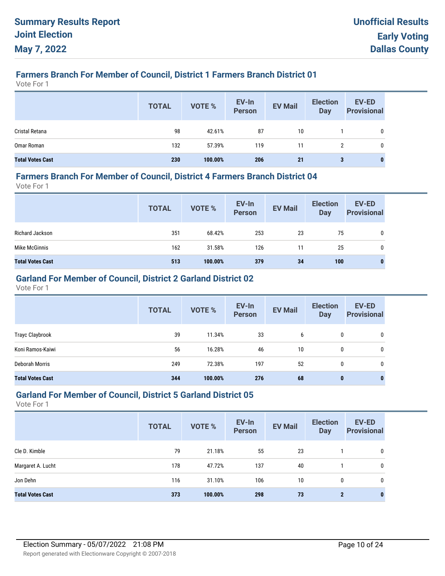# **Farmers Branch For Member of Council, District 1 Farmers Branch District 01**

Vote For 1

|                         | <b>TOTAL</b> | <b>VOTE %</b> | EV-In<br>Person | <b>EV Mail</b> | <b>Election</b><br><b>Day</b> | <b>EV-ED</b><br><b>Provisional</b> |
|-------------------------|--------------|---------------|-----------------|----------------|-------------------------------|------------------------------------|
| Cristal Retana          | 98           | 42.61%        | 87              | 10             |                               | 0                                  |
| Omar Roman              | 132          | 57.39%        | 119             | 11             | 2                             | 0                                  |
| <b>Total Votes Cast</b> | 230          | 100.00%       | 206             | 21             | 3                             |                                    |

#### **Farmers Branch For Member of Council, District 4 Farmers Branch District 04**

Vote For 1

|                         | <b>TOTAL</b> | VOTE %  | EV-In<br>Person | <b>EV Mail</b> | <b>Election</b><br><b>Day</b> | <b>EV-ED</b><br><b>Provisional</b> |
|-------------------------|--------------|---------|-----------------|----------------|-------------------------------|------------------------------------|
| Richard Jackson         | 351          | 68.42%  | 253             | 23             | 75                            | 0                                  |
| Mike McGinnis           | 162          | 31.58%  | 126             | 11             | 25                            | 0                                  |
| <b>Total Votes Cast</b> | 513          | 100.00% | 379             | 34             | 100                           | 0                                  |

# **Garland For Member of Council, District 2 Garland District 02**

Vote For 1

|                         | <b>TOTAL</b> | <b>VOTE %</b> | EV-In<br><b>Person</b> | <b>EV Mail</b> | <b>Election</b><br><b>Day</b> | <b>EV-ED</b><br><b>Provisional</b> |
|-------------------------|--------------|---------------|------------------------|----------------|-------------------------------|------------------------------------|
| Trayc Claybrook         | 39           | 11.34%        | 33                     | 6              | 0                             | 0                                  |
| Koni Ramos-Kaiwi        | 56           | 16.28%        | 46                     | 10             | 0                             | 0                                  |
| Deborah Morris          | 249          | 72.38%        | 197                    | 52             | 0                             | 0                                  |
| <b>Total Votes Cast</b> | 344          | 100.00%       | 276                    | 68             | $\bf{0}$                      | 0                                  |

## **Garland For Member of Council, District 5 Garland District 05**

|                         | <b>TOTAL</b> | <b>VOTE %</b> | EV-In<br><b>Person</b> | <b>EV Mail</b> | <b>Election</b><br><b>Day</b> | EV-ED<br><b>Provisional</b> |
|-------------------------|--------------|---------------|------------------------|----------------|-------------------------------|-----------------------------|
| Cle D. Kimble           | 79           | 21.18%        | 55                     | 23             |                               | 0                           |
| Margaret A. Lucht       | 178          | 47.72%        | 137                    | 40             |                               | 0                           |
| Jon Dehn                | 116          | 31.10%        | 106                    | 10             | $\mathbf{0}$                  | 0                           |
| <b>Total Votes Cast</b> | 373          | 100.00%       | 298                    | 73             | $\mathbf{2}$                  | $\bf{0}$                    |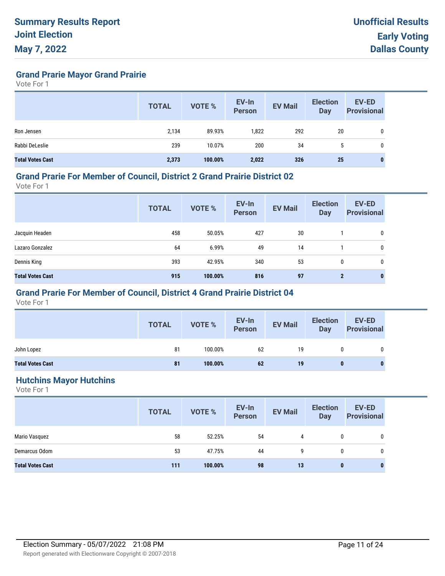**Grand Prarie Mayor Grand Prairie**

Vote For 1

|                         | <b>TOTAL</b> | <b>VOTE %</b> | EV-In<br><b>Person</b> | <b>EV Mail</b> | <b>Election</b><br><b>Day</b> | <b>EV-ED</b><br><b>Provisional</b> |
|-------------------------|--------------|---------------|------------------------|----------------|-------------------------------|------------------------------------|
| Ron Jensen              | 2,134        | 89.93%        | 1,822                  | 292            | 20                            | 0                                  |
| Rabbi DeLeslie          | 239          | 10.07%        | 200                    | 34             | 5                             | 0                                  |
| <b>Total Votes Cast</b> | 2,373        | 100.00%       | 2,022                  | 326            | 25                            | $\bf{0}$                           |

#### **Grand Prarie For Member of Council, District 2 Grand Prairie District 02**

Vote For 1

|                         | <b>TOTAL</b> | <b>VOTE %</b> | EV-In<br><b>Person</b> | <b>EV Mail</b> | <b>Election</b><br><b>Day</b> | <b>EV-ED</b><br><b>Provisional</b> |
|-------------------------|--------------|---------------|------------------------|----------------|-------------------------------|------------------------------------|
| Jacquin Headen          | 458          | 50.05%        | 427                    | 30             |                               | $\mathbf 0$                        |
| Lazaro Gonzalez         | 64           | 6.99%         | 49                     | 14             |                               | 0                                  |
| Dennis King             | 393          | 42.95%        | 340                    | 53             | $\mathbf{0}$                  | 0                                  |
| <b>Total Votes Cast</b> | 915          | 100.00%       | 816                    | 97             | $\mathbf{2}$                  | $\bf{0}$                           |

## **Grand Prarie For Member of Council, District 4 Grand Prairie District 04**

Vote For 1

|                         | <b>TOTAL</b> | <b>VOTE %</b> | EV-In<br>Person | <b>EV Mail</b> | <b>Election</b><br><b>Day</b> | <b>EV-ED</b><br><b>Provisional</b> |
|-------------------------|--------------|---------------|-----------------|----------------|-------------------------------|------------------------------------|
| John Lopez              | 81           | 100.00%       | 62              | 19             | 0                             | 0                                  |
| <b>Total Votes Cast</b> | 81           | 100.00%       | 62              | 19             | 0                             |                                    |

#### **Hutchins Mayor Hutchins**

|                         | <b>TOTAL</b> | VOTE %  | EV-In<br>Person | <b>EV Mail</b> | <b>Election</b><br><b>Day</b> | <b>EV-ED</b><br><b>Provisional</b> |
|-------------------------|--------------|---------|-----------------|----------------|-------------------------------|------------------------------------|
| Mario Vasquez           | 58           | 52.25%  | 54              | 4              | 0                             | $\mathbf 0$                        |
| Demarcus Odom           | 53           | 47.75%  | 44              | 9              | $\mathbf{0}$                  | 0                                  |
| <b>Total Votes Cast</b> | 111          | 100.00% | 98              | 13             | $\bf{0}$                      | $\bf{0}$                           |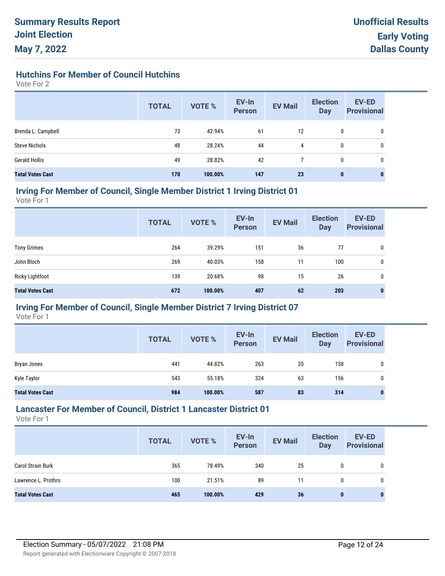## **Hutchins For Member of Council Hutchins**

Vote For 2

|                         | <b>TOTAL</b> | <b>VOTE %</b> | EV-In<br><b>Person</b> | <b>EV Mail</b> | <b>Election</b><br><b>Day</b> | <b>EV-ED</b><br><b>Provisional</b> |
|-------------------------|--------------|---------------|------------------------|----------------|-------------------------------|------------------------------------|
| Brenda L. Campbell      | 73           | 42.94%        | 61                     | 12             | 0                             | 0                                  |
| <b>Steve Nichols</b>    | 48           | 28.24%        | 44                     | 4              | 0                             | 0                                  |
| <b>Gerald Hollis</b>    | 49           | 28.82%        | 42                     |                | 0                             | 0                                  |
| <b>Total Votes Cast</b> | 170          | 100.00%       | 147                    | 23             | $\bf{0}$                      |                                    |

#### **Irving For Member of Council, Single Member District 1 Irving District 01**

Vote For 1

|                         | <b>TOTAL</b> | <b>VOTE %</b> | EV-In<br><b>Person</b> | <b>EV Mail</b> | <b>Election</b><br><b>Day</b> | <b>EV-ED</b><br><b>Provisional</b> |
|-------------------------|--------------|---------------|------------------------|----------------|-------------------------------|------------------------------------|
| <b>Tony Grimes</b>      | 264          | 39.29%        | 151                    | 36             | 77                            | 0                                  |
| John Bloch              | 269          | 40.03%        | 158                    | 11             | 100                           | 0                                  |
| <b>Ricky Lightfoot</b>  | 139          | 20.68%        | 98                     | 15             | 26                            | 0                                  |
| <b>Total Votes Cast</b> | 672          | 100.00%       | 407                    | 62             | 203                           | 0                                  |

## **Irving For Member of Council, Single Member District 7 Irving District 07**

Vote For 1

|                         | <b>TOTAL</b> | <b>VOTE %</b> | EV-In<br>Person | <b>EV Mail</b> | <b>Election</b><br>Day | <b>EV-ED</b><br><b>Provisional</b> |
|-------------------------|--------------|---------------|-----------------|----------------|------------------------|------------------------------------|
| Bryan Jones             | 441          | 44.82%        | 263             | 20             | 158                    | 0                                  |
| Kyle Taylor             | 543          | 55.18%        | 324             | 63             | 156                    | 0                                  |
| <b>Total Votes Cast</b> | 984          | 100.00%       | 587             | 83             | 314                    | $\bf{0}$                           |

## **Lancaster For Member of Council, District 1 Lancaster District 01**

|                          | <b>TOTAL</b> | <b>VOTE %</b> | EV-In<br><b>Person</b> | <b>EV Mail</b> | <b>Election</b><br>Day | <b>EV-ED</b><br><b>Provisional</b> |
|--------------------------|--------------|---------------|------------------------|----------------|------------------------|------------------------------------|
| <b>Carol Strain Burk</b> | 365          | 78.49%        | 340                    | 25             | 0                      | 0                                  |
| Lawrence L. Prothro      | 100          | 21.51%        | 89                     | 11             | 0                      | 0                                  |
| <b>Total Votes Cast</b>  | 465          | 100.00%       | 429                    | 36             | 0                      | 0                                  |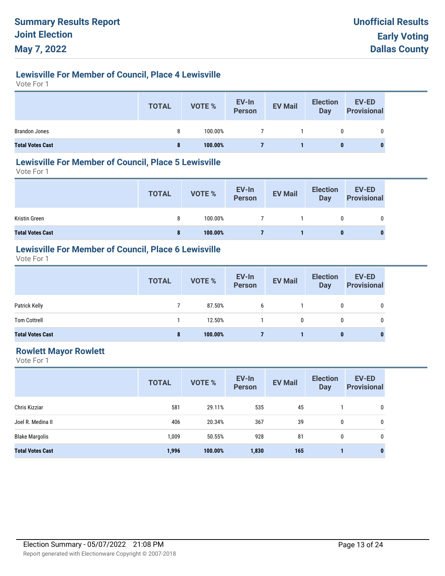# **Lewisville For Member of Council, Place 4 Lewisville**

Vote For 1

|                         | <b>TOTAL</b> | <b>VOTE %</b> | EV-In<br>Person | <b>EV Mail</b> | <b>Election</b><br><b>Day</b> | <b>EV-ED</b><br><b>Provisional</b> |
|-------------------------|--------------|---------------|-----------------|----------------|-------------------------------|------------------------------------|
| <b>Brandon Jones</b>    | 8            | 100.00%       |                 |                | 0                             | 0                                  |
| <b>Total Votes Cast</b> | 8            | 100.00%       |                 |                | 0                             |                                    |

## **Lewisville For Member of Council, Place 5 Lewisville**

Vote For 1

|                         | <b>TOTAL</b> | VOTE %  | EV-In<br>Person | <b>EV Mail</b> | <b>Election</b><br><b>Day</b> | EV-ED<br><b>Provisional</b> |
|-------------------------|--------------|---------|-----------------|----------------|-------------------------------|-----------------------------|
| Kristin Green           |              | 100.00% |                 |                | 0                             |                             |
| <b>Total Votes Cast</b> | 8            | 100.00% |                 |                | 0                             | 0                           |

# **Lewisville For Member of Council, Place 6 Lewisville**

Vote For 1

|                         | <b>TOTAL</b> | VOTE %  | EV-In<br>Person | <b>EV Mail</b> | <b>Election</b><br>Day | <b>EV-ED</b><br><b>Provisional</b> |
|-------------------------|--------------|---------|-----------------|----------------|------------------------|------------------------------------|
| Patrick Kelly           |              | 87.50%  | 6               |                | 0                      | 0                                  |
| <b>Tom Cottrell</b>     |              | 12.50%  |                 | 0              |                        |                                    |
| <b>Total Votes Cast</b> | 8            | 100.00% |                 |                | 0                      | $\bf{0}$                           |

## **Rowlett Mayor Rowlett**

|                         | <b>TOTAL</b> | <b>VOTE %</b> | EV-In<br><b>Person</b> | <b>EV Mail</b> | <b>Election</b><br><b>Day</b> | <b>EV-ED</b><br><b>Provisional</b> |
|-------------------------|--------------|---------------|------------------------|----------------|-------------------------------|------------------------------------|
| Chris Kizziar           | 581          | 29.11%        | 535                    | 45             |                               | 0                                  |
| Joel R. Medina II       | 406          | 20.34%        | 367                    | 39             | 0                             | 0                                  |
| <b>Blake Margolis</b>   | 1,009        | 50.55%        | 928                    | 81             | 0                             | 0                                  |
| <b>Total Votes Cast</b> | 1,996        | 100.00%       | 1,830                  | 165            |                               | $\bf{0}$                           |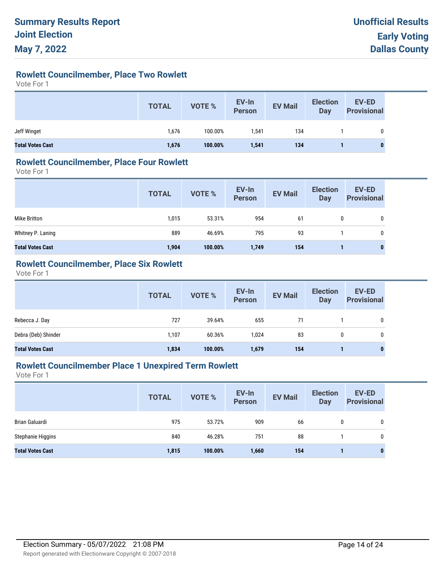# **Rowlett Councilmember, Place Two Rowlett**

Vote For 1

|                         | <b>TOTAL</b> | VOTE %  | EV-In<br>Person | <b>EV Mail</b> | <b>Election</b><br>Day | <b>EV-ED</b><br><b>Provisional</b> |
|-------------------------|--------------|---------|-----------------|----------------|------------------------|------------------------------------|
| Jeff Winget             | 1,676        | 100.00% | 1.541           | 134            |                        | 0                                  |
| <b>Total Votes Cast</b> | 1,676        | 100.00% | 1,541           | 134            |                        | 0                                  |

## **Rowlett Councilmember, Place Four Rowlett**

Vote For 1

|                         | <b>TOTAL</b> | VOTE %  | EV-In<br>Person | <b>EV Mail</b> | <b>Election</b><br>Day | <b>EV-ED</b><br><b>Provisional</b> |
|-------------------------|--------------|---------|-----------------|----------------|------------------------|------------------------------------|
| Mike Britton            | 1,015        | 53.31%  | 954             | 61             |                        | 0                                  |
| Whitney P. Laning       | 889          | 46.69%  | 795             | 93             |                        | 0                                  |
| <b>Total Votes Cast</b> | 1,904        | 100.00% | 1,749           | 154            |                        | $\mathbf{0}$                       |

## **Rowlett Councilmember, Place Six Rowlett**

Vote For 1

|                         | <b>TOTAL</b> | <b>VOTE %</b> | EV-In<br>Person | <b>EV Mail</b> | <b>Election</b><br><b>Day</b> | <b>EV-ED</b><br><b>Provisional</b> |
|-------------------------|--------------|---------------|-----------------|----------------|-------------------------------|------------------------------------|
| Rebecca J. Day          | 727          | 39.64%        | 655             | 71             |                               | 0                                  |
| Debra (Deb) Shinder     | 1.107        | 60.36%        | 1.024           | 83             | 0                             | 0                                  |
| <b>Total Votes Cast</b> | 1,834        | 100.00%       | 1,679           | 154            |                               | $\bf{0}$                           |

## **Rowlett Councilmember Place 1 Unexpired Term Rowlett**

|                         | <b>TOTAL</b> | <b>VOTE %</b> | EV-In<br><b>Person</b> | <b>EV Mail</b> | <b>Election</b><br>Day | EV-ED<br><b>Provisional</b> |
|-------------------------|--------------|---------------|------------------------|----------------|------------------------|-----------------------------|
| <b>Brian Galuardi</b>   | 975          | 53.72%        | 909                    | 66             | 0                      | 0                           |
| Stephanie Higgins       | 840          | 46.28%        | 751                    | 88             |                        | 0                           |
| <b>Total Votes Cast</b> | 1,815        | 100.00%       | 1,660                  | 154            |                        | $\bf{0}$                    |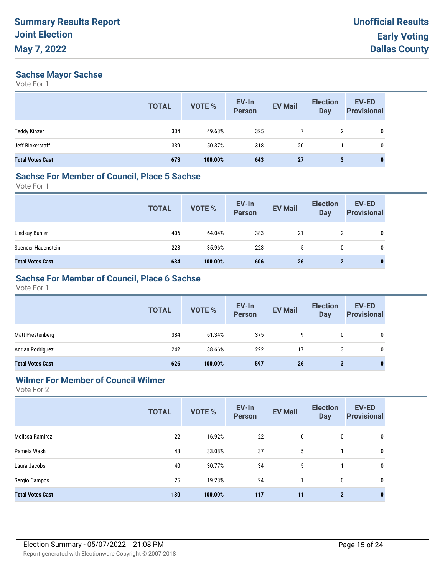## **Sachse Mayor Sachse**

Vote For 1

|                         | <b>TOTAL</b> | <b>VOTE %</b> | EV-In<br><b>Person</b> | <b>EV Mail</b> | <b>Election</b><br><b>Day</b> | EV-ED<br><b>Provisional</b> |
|-------------------------|--------------|---------------|------------------------|----------------|-------------------------------|-----------------------------|
| <b>Teddy Kinzer</b>     | 334          | 49.63%        | 325                    |                | 2                             | 0                           |
| Jeff Bickerstaff        | 339          | 50.37%        | 318                    | 20             |                               | 0                           |
| <b>Total Votes Cast</b> | 673          | 100.00%       | 643                    | 27             | 3                             | 0                           |

#### **Sachse For Member of Council, Place 5 Sachse**

Vote For 1

|                         | <b>TOTAL</b> | VOTE %  | EV-In<br>Person | <b>EV Mail</b> | <b>Election</b><br><b>Day</b> | EV-ED<br><b>Provisional</b> |
|-------------------------|--------------|---------|-----------------|----------------|-------------------------------|-----------------------------|
| Lindsay Buhler          | 406          | 64.04%  | 383             | 21             |                               | $\mathbf 0$                 |
| Spencer Hauenstein      | 228          | 35.96%  | 223             | b.             | 0                             | 0                           |
| <b>Total Votes Cast</b> | 634          | 100.00% | 606             | 26             | $\mathbf{2}$                  | $\bf{0}$                    |

## **Sachse For Member of Council, Place 6 Sachse**

Vote For 1

|                         | <b>TOTAL</b> | VOTE %  | EV-In<br>Person | <b>EV Mail</b> | <b>Election</b><br>Day | <b>EV-ED</b><br><b>Provisional</b> |
|-------------------------|--------------|---------|-----------------|----------------|------------------------|------------------------------------|
| Matt Prestenberg        | 384          | 61.34%  | 375             | 9              | 0                      | $\mathbf{0}$                       |
| Adrian Rodriguez        | 242          | 38.66%  | 222             | 17             |                        | 0                                  |
| <b>Total Votes Cast</b> | 626          | 100.00% | 597             | 26             | 3                      |                                    |

## **Wilmer For Member of Council Wilmer**

| <b>TOTAL</b> | <b>VOTE %</b> | EV-In<br><b>Person</b> | <b>EV Mail</b> | <b>Election</b><br><b>Day</b> | <b>EV-ED</b><br><b>Provisional</b> |
|--------------|---------------|------------------------|----------------|-------------------------------|------------------------------------|
| 22           | 16.92%        | 22                     | 0              | 0                             | 0                                  |
| 43           | 33.08%        | 37                     | 5              |                               | 0                                  |
| 40           | 30.77%        | 34                     | 5              |                               | 0                                  |
| 25           | 19.23%        | 24                     |                | $\mathbf 0$                   | 0                                  |
| 130          | 100.00%       | 117                    | 11             | $\overline{2}$                | $\bf{0}$                           |
|              |               |                        |                |                               |                                    |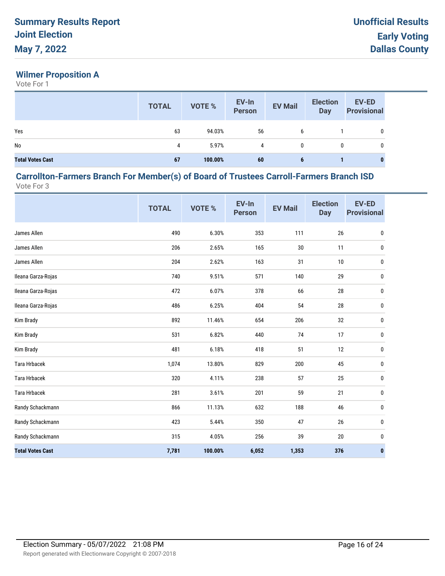# **Wilmer Proposition A**

Vote For 1

|                         | <b>TOTAL</b> | <b>VOTE %</b> | EV-In<br>Person | <b>EV Mail</b> | <b>Election</b><br>Day | <b>EV-ED</b><br><b>Provisional</b> |
|-------------------------|--------------|---------------|-----------------|----------------|------------------------|------------------------------------|
| Yes                     | 63           | 94.03%        | 56              | 6              |                        |                                    |
| No                      | 4            | 5.97%         | 4               | 0              | 0                      |                                    |
| <b>Total Votes Cast</b> | 67           | 100.00%       | 60              | 6              |                        | $\bf{0}$                           |

#### **Carrollton-Farmers Branch For Member(s) of Board of Trustees Carroll-Farmers Branch ISD** Vote For 3

|                         | <b>TOTAL</b> | VOTE %  | EV-In<br><b>Person</b> | <b>EV Mail</b> | <b>Election</b><br><b>Day</b> | <b>EV-ED</b><br><b>Provisional</b> |
|-------------------------|--------------|---------|------------------------|----------------|-------------------------------|------------------------------------|
| James Allen             | 490          | 6.30%   | 353                    | 111            | 26                            | 0                                  |
| James Allen             | 206          | 2.65%   | 165                    | $30\,$         | 11                            | 0                                  |
| James Allen             | 204          | 2.62%   | 163                    | 31             | $10$                          | 0                                  |
| Ileana Garza-Rojas      | 740          | 9.51%   | 571                    | 140            | 29                            | 0                                  |
| Ileana Garza-Rojas      | 472          | 6.07%   | 378                    | 66             | 28                            | 0                                  |
| Ileana Garza-Rojas      | 486          | 6.25%   | 404                    | 54             | 28                            | 0                                  |
| Kim Brady               | 892          | 11.46%  | 654                    | 206            | 32                            | 0                                  |
| Kim Brady               | 531          | 6.82%   | 440                    | 74             | 17                            | 0                                  |
| Kim Brady               | 481          | 6.18%   | 418                    | 51             | 12                            | 0                                  |
| <b>Tara Hrbacek</b>     | 1,074        | 13.80%  | 829                    | 200            | 45                            | 0                                  |
| <b>Tara Hrbacek</b>     | 320          | 4.11%   | 238                    | 57             | 25                            | 0                                  |
| <b>Tara Hrbacek</b>     | 281          | 3.61%   | 201                    | 59             | 21                            | 0                                  |
| Randy Schackmann        | 866          | 11.13%  | 632                    | 188            | 46                            | 0                                  |
| Randy Schackmann        | 423          | 5.44%   | 350                    | 47             | $26\,$                        | 0                                  |
| Randy Schackmann        | 315          | 4.05%   | 256                    | 39             | 20                            | 0                                  |
| <b>Total Votes Cast</b> | 7,781        | 100.00% | 6,052                  | 1,353          | 376                           | $\mathbf 0$                        |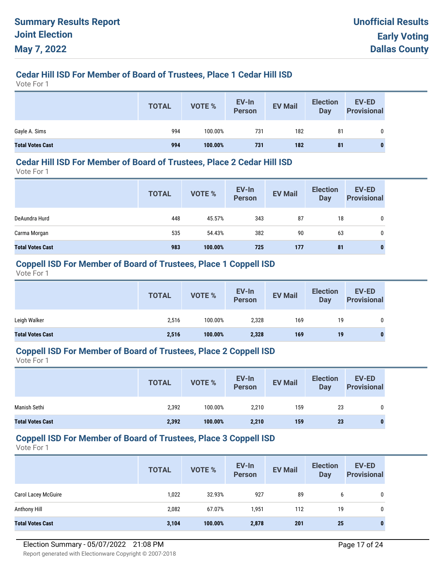# **Cedar Hill ISD For Member of Board of Trustees, Place 1 Cedar Hill ISD**

Vote For 1

|                         | <b>TOTAL</b> | VOTE %  | EV-In<br>Person | <b>EV Mail</b> | <b>Election</b><br>Day | <b>EV-ED</b><br><b>Provisional</b> |
|-------------------------|--------------|---------|-----------------|----------------|------------------------|------------------------------------|
| Gayle A. Sims           | 994          | 100.00% | 731             | 182            | 81                     | 0                                  |
| <b>Total Votes Cast</b> | 994          | 100.00% | 731             | 182            | 81                     | $\bf{0}$                           |

#### **Cedar Hill ISD For Member of Board of Trustees, Place 2 Cedar Hill ISD**

Vote For 1

|                         | <b>TOTAL</b> | <b>VOTE %</b> | EV-In<br><b>Person</b> | <b>EV Mail</b> | <b>Election</b><br><b>Day</b> | <b>EV-ED</b><br><b>Provisional</b> |
|-------------------------|--------------|---------------|------------------------|----------------|-------------------------------|------------------------------------|
| DeAundra Hurd           | 448          | 45.57%        | 343                    | 87             | 18                            | 0                                  |
| Carma Morgan            | 535          | 54.43%        | 382                    | 90             | 63                            | 0                                  |
| <b>Total Votes Cast</b> | 983          | 100.00%       | 725                    | 177            | 81                            | 0                                  |

#### **Coppell ISD For Member of Board of Trustees, Place 1 Coppell ISD**

Vote For 1

|                         | <b>TOTAL</b> | VOTE %  | EV-In<br><b>Person</b> | <b>EV Mail</b> | <b>Election</b><br>Day | <b>EV-ED</b><br><b>Provisional</b> |
|-------------------------|--------------|---------|------------------------|----------------|------------------------|------------------------------------|
| Leigh Walker            | 2,516        | 100.00% | 2,328                  | 169            | 19                     | 0                                  |
| <b>Total Votes Cast</b> | 2,516        | 100.00% | 2,328                  | 169            | 19                     |                                    |

#### **Coppell ISD For Member of Board of Trustees, Place 2 Coppell ISD**

Vote For 1

|                         | <b>TOTAL</b> | <b>VOTE %</b> | EV-In<br><b>Person</b> | <b>EV Mail</b> | <b>Election</b><br>Day | EV-ED<br><b>Provisional</b> |
|-------------------------|--------------|---------------|------------------------|----------------|------------------------|-----------------------------|
| Manish Sethi            | 2,392        | 100.00%       | 2,210                  | 159            | 23                     | 0                           |
| <b>Total Votes Cast</b> | 2,392        | 100.00%       | 2,210                  | 159            | 23                     | $\mathbf{0}$                |

#### **Coppell ISD For Member of Board of Trustees, Place 3 Coppell ISD**

|                            | <b>TOTAL</b> | <b>VOTE %</b> | EV-In<br><b>Person</b> | <b>EV Mail</b> | <b>Election</b><br>Day | EV-ED<br><b>Provisional</b> |
|----------------------------|--------------|---------------|------------------------|----------------|------------------------|-----------------------------|
| <b>Carol Lacey McGuire</b> | 1,022        | 32.93%        | 927                    | 89             | 6                      | 0                           |
| Anthony Hill               | 2,082        | 67.07%        | 1.951                  | 112            | 19                     | 0                           |
| <b>Total Votes Cast</b>    | 3,104        | 100.00%       | 2,878                  | 201            | 25                     |                             |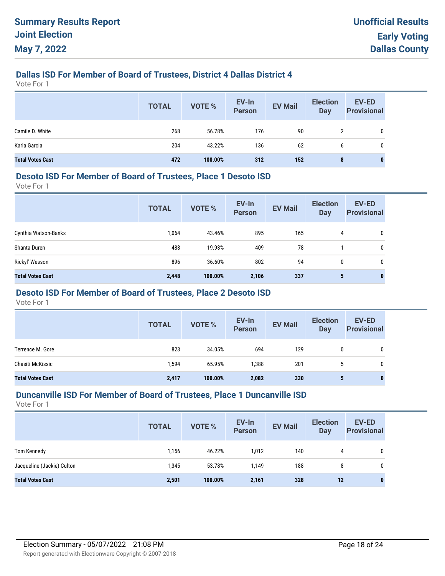## **Dallas ISD For Member of Board of Trustees, District 4 Dallas District 4**

Vote For 1

|                         | <b>TOTAL</b> | VOTE %  | EV-In<br>Person | <b>EV Mail</b> | <b>Election</b><br><b>Day</b> | EV-ED<br><b>Provisional</b> |
|-------------------------|--------------|---------|-----------------|----------------|-------------------------------|-----------------------------|
| Camile D. White         | 268          | 56.78%  | 176             | 90             | 2                             | 0                           |
| Karla Garcia            | 204          | 43.22%  | 136             | 62             | 6                             | 0                           |
| <b>Total Votes Cast</b> | 472          | 100.00% | 312             | 152            | 8                             | 0                           |

#### **Desoto ISD For Member of Board of Trustees, Place 1 Desoto ISD**

Vote For 1

|                         | <b>TOTAL</b> | <b>VOTE %</b> | EV-In<br><b>Person</b> | <b>EV Mail</b> | <b>Election</b><br><b>Day</b> | <b>EV-ED</b><br><b>Provisional</b> |
|-------------------------|--------------|---------------|------------------------|----------------|-------------------------------|------------------------------------|
| Cynthia Watson-Banks    | 1,064        | 43.46%        | 895                    | 165            | 4                             | 0                                  |
| Shanta Duren            | 488          | 19.93%        | 409                    | 78             |                               | 0                                  |
| Rickyl' Wesson          | 896          | 36.60%        | 802                    | 94             | 0                             | 0                                  |
| <b>Total Votes Cast</b> | 2,448        | 100.00%       | 2,106                  | 337            | 5                             | 0                                  |

## **Desoto ISD For Member of Board of Trustees, Place 2 Desoto ISD**

Vote For 1

|                         | <b>TOTAL</b> | <b>VOTE %</b> | EV-In<br><b>Person</b> | <b>EV Mail</b> | <b>Election</b><br><b>Day</b> | <b>EV-ED</b><br><b>Provisional</b> |
|-------------------------|--------------|---------------|------------------------|----------------|-------------------------------|------------------------------------|
| Terrence M. Gore        | 823          | 34.05%        | 694                    | 129            | 0                             | 0                                  |
| Chasiti McKissic        | 1,594        | 65.95%        | 1,388                  | 201            | 5                             | 0                                  |
| <b>Total Votes Cast</b> | 2,417        | 100.00%       | 2,082                  | 330            | 5                             | $\bf{0}$                           |

#### **Duncanville ISD For Member of Board of Trustees, Place 1 Duncanville ISD**

|                            | <b>TOTAL</b> | VOTE %  | EV-In<br><b>Person</b> | <b>EV Mail</b> | <b>Election</b><br>Day | EV-ED<br><b>Provisional</b> |
|----------------------------|--------------|---------|------------------------|----------------|------------------------|-----------------------------|
| <b>Tom Kennedy</b>         | 1,156        | 46.22%  | 1,012                  | 140            | 4                      | 0                           |
| Jacqueline (Jackie) Culton | 1,345        | 53.78%  | 1.149                  | 188            | 8                      | 0                           |
| <b>Total Votes Cast</b>    | 2,501        | 100.00% | 2,161                  | 328            | 12                     | $\mathbf{0}$                |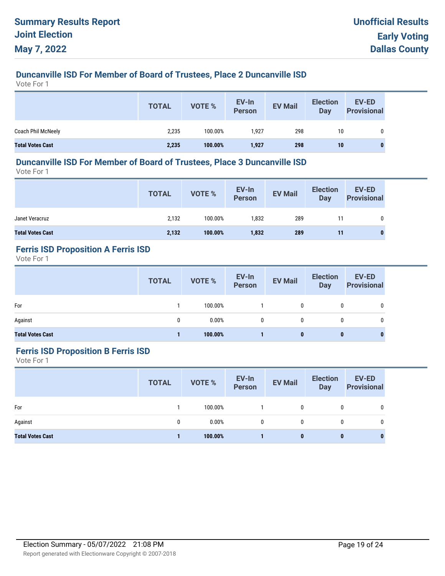# **Duncanville ISD For Member of Board of Trustees, Place 2 Duncanville ISD**

Vote For 1

|                         | <b>TOTAL</b> | VOTE %  | EV-In<br>Person | <b>EV Mail</b> | <b>Election</b><br>Day | <b>EV-ED</b><br><b>Provisional</b> |
|-------------------------|--------------|---------|-----------------|----------------|------------------------|------------------------------------|
| Coach Phil McNeely      | 2,235        | 100.00% | 1.927           | 298            | 10                     | 0                                  |
| <b>Total Votes Cast</b> | 2,235        | 100.00% | 1,927           | 298            | 10                     | $\mathbf{0}$                       |

### **Duncanville ISD For Member of Board of Trustees, Place 3 Duncanville ISD**

Vote For 1

|                         | <b>TOTAL</b> | <b>VOTE %</b> | EV-In<br>Person | <b>EV Mail</b> | <b>Election</b><br><b>Day</b> | <b>EV-ED</b><br><b>Provisional</b> |
|-------------------------|--------------|---------------|-----------------|----------------|-------------------------------|------------------------------------|
| Janet Veracruz          | 2,132        | 100.00%       | 1,832           | 289            | 11                            | 0                                  |
| <b>Total Votes Cast</b> | 2,132        | 100.00%       | 1,832           | 289            | 11                            |                                    |

# **Ferris ISD Proposition A Ferris ISD**

Vote For 1

|                         | <b>TOTAL</b> | <b>VOTE %</b> | EV-In<br>Person | <b>EV Mail</b> | <b>Election</b><br><b>Day</b> | <b>EV-ED</b><br><b>Provisional</b> |
|-------------------------|--------------|---------------|-----------------|----------------|-------------------------------|------------------------------------|
| For                     |              | 100.00%       |                 | 0              | 0                             | 0                                  |
| Against                 | 0            | 0.00%         | $\mathbf{0}$    | 0              | $\mathbf{0}$                  | 0                                  |
| <b>Total Votes Cast</b> |              | 100.00%       |                 | 0              | 0                             | 0                                  |

## **Ferris ISD Proposition B Ferris ISD**

|                         | <b>TOTAL</b> | <b>VOTE %</b> | EV-In<br>Person | <b>EV Mail</b> | <b>Election</b><br><b>Day</b> | EV-ED<br><b>Provisional</b> |
|-------------------------|--------------|---------------|-----------------|----------------|-------------------------------|-----------------------------|
| For                     |              | 100.00%       |                 | $\mathbf{0}$   | 0                             | 0                           |
| Against                 | 0            | 0.00%         | 0               | 0              | 0                             | 0                           |
| <b>Total Votes Cast</b> |              | 100.00%       |                 | 0              | $\bf{0}$                      | $\bf{0}$                    |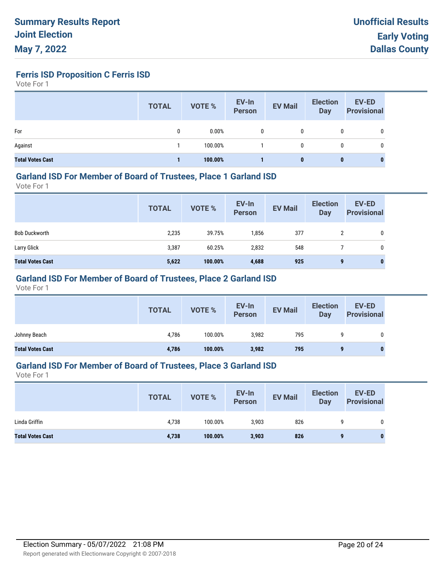**Ferris ISD Proposition C Ferris ISD**

Vote For 1

|                         | <b>TOTAL</b> | <b>VOTE %</b> | EV-In<br><b>Person</b> | <b>EV Mail</b> | <b>Election</b><br>Day | <b>EV-ED</b><br><b>Provisional</b> |
|-------------------------|--------------|---------------|------------------------|----------------|------------------------|------------------------------------|
| For                     | 0            | 0.00%         | 0                      | 0              | 0                      | 0                                  |
| Against                 |              | 100.00%       |                        | 0              | 0                      | 0                                  |
| <b>Total Votes Cast</b> |              | 100.00%       |                        | 0              | 0                      |                                    |

#### **Garland ISD For Member of Board of Trustees, Place 1 Garland ISD**

Vote For 1

|                         | <b>TOTAL</b> | VOTE %  | EV-In<br>Person | <b>EV Mail</b> | <b>Election</b><br>Day | <b>EV-ED</b><br><b>Provisional</b> |
|-------------------------|--------------|---------|-----------------|----------------|------------------------|------------------------------------|
| <b>Bob Duckworth</b>    | 2,235        | 39.75%  | 1,856           | 377            | 2                      | 0                                  |
| Larry Glick             | 3,387        | 60.25%  | 2,832           | 548            |                        | 0                                  |
| <b>Total Votes Cast</b> | 5,622        | 100.00% | 4,688           | 925            | 9                      | 0                                  |

## **Garland ISD For Member of Board of Trustees, Place 2 Garland ISD**

Vote For 1

|                         | <b>TOTAL</b> | VOTE %  | EV-In<br>Person | <b>EV Mail</b> | <b>Election</b><br><b>Day</b> | <b>EV-ED</b><br><b>Provisional</b> |
|-------------------------|--------------|---------|-----------------|----------------|-------------------------------|------------------------------------|
| Johnny Beach            | 4,786        | 100.00% | 3,982           | 795            |                               |                                    |
| <b>Total Votes Cast</b> | 4,786        | 100.00% | 3,982           | 795            |                               |                                    |

## **Garland ISD For Member of Board of Trustees, Place 3 Garland ISD**

|                         | <b>TOTAL</b> | <b>VOTE %</b> | EV-In<br>Person | <b>EV Mail</b> | <b>Election</b><br><b>Day</b> | EV-ED<br><b>Provisional</b> |
|-------------------------|--------------|---------------|-----------------|----------------|-------------------------------|-----------------------------|
| Linda Griffin           | 4,738        | 100.00%       | 3,903           | 826            |                               | 0                           |
| <b>Total Votes Cast</b> | 4,738        | 100.00%       | 3,903           | 826            |                               | 0                           |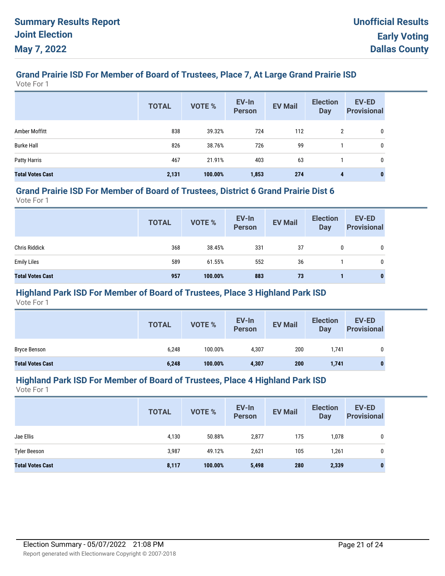# **Grand Prairie ISD For Member of Board of Trustees, Place 7, At Large Grand Prairie ISD**

Vote For 1

|                         | <b>TOTAL</b> | <b>VOTE %</b> | EV-In<br><b>Person</b> | <b>EV Mail</b> | <b>Election</b><br><b>Day</b> | <b>EV-ED</b><br><b>Provisional</b> |
|-------------------------|--------------|---------------|------------------------|----------------|-------------------------------|------------------------------------|
| Amber Moffitt           | 838          | 39.32%        | 724                    | 112            | 2                             | 0                                  |
| <b>Burke Hall</b>       | 826          | 38.76%        | 726                    | 99             |                               | 0                                  |
| Patty Harris            | 467          | 21.91%        | 403                    | 63             |                               | 0                                  |
| <b>Total Votes Cast</b> | 2,131        | 100.00%       | 1,853                  | 274            | 4                             | $\bf{0}$                           |

#### **Grand Prairie ISD For Member of Board of Trustees, District 6 Grand Prairie Dist 6**

Vote For 1

|                         | <b>TOTAL</b> | VOTE %  | EV-In<br>Person | <b>EV Mail</b> | <b>Election</b><br>Day | EV-ED<br><b>Provisional</b> |
|-------------------------|--------------|---------|-----------------|----------------|------------------------|-----------------------------|
| <b>Chris Riddick</b>    | 368          | 38.45%  | 331             | 37             |                        | 0                           |
| <b>Emily Liles</b>      | 589          | 61.55%  | 552             | 36             |                        | 0                           |
| <b>Total Votes Cast</b> | 957          | 100.00% | 883             | 73             |                        | $\mathbf{0}$                |

## **Highland Park ISD For Member of Board of Trustees, Place 3 Highland Park ISD**

Vote For 1

|                         | <b>TOTAL</b> | VOTE %  | EV-In<br>Person | <b>EV Mail</b> | <b>Election</b><br>Day | <b>EV-ED</b><br><b>Provisional</b> |
|-------------------------|--------------|---------|-----------------|----------------|------------------------|------------------------------------|
| <b>Bryce Benson</b>     | 6,248        | 100.00% | 4,307           | 200            | 1,741                  | 0                                  |
| <b>Total Votes Cast</b> | 6,248        | 100.00% | 4,307           | 200            | 1,741                  |                                    |

#### **Highland Park ISD For Member of Board of Trustees, Place 4 Highland Park ISD**

|                         | <b>TOTAL</b> | VOTE %  | EV-In<br><b>Person</b> | <b>EV Mail</b> | <b>Election</b><br><b>Day</b> | <b>EV-ED</b><br><b>Provisional</b> |
|-------------------------|--------------|---------|------------------------|----------------|-------------------------------|------------------------------------|
| Jae Ellis               | 4,130        | 50.88%  | 2,877                  | 175            | 1,078                         | 0                                  |
| <b>Tyler Beeson</b>     | 3,987        | 49.12%  | 2,621                  | 105            | 1,261                         | 0                                  |
| <b>Total Votes Cast</b> | 8,117        | 100.00% | 5,498                  | 280            | 2,339                         | 0                                  |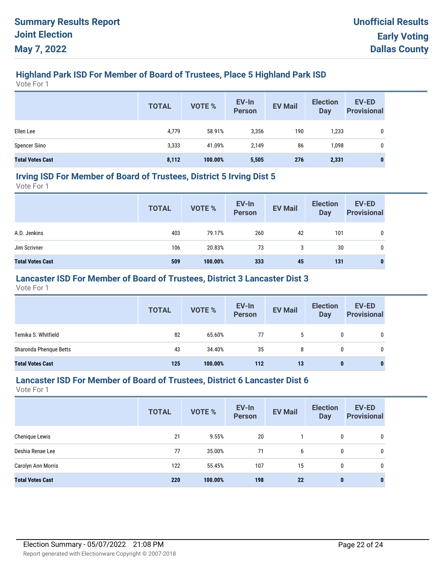# **Highland Park ISD For Member of Board of Trustees, Place 5 Highland Park ISD**

Vote For 1

|                         | <b>TOTAL</b> | <b>VOTE %</b> | EV-In<br>Person | <b>EV Mail</b> | <b>Election</b><br><b>Day</b> | <b>EV-ED</b><br><b>Provisional</b> |
|-------------------------|--------------|---------------|-----------------|----------------|-------------------------------|------------------------------------|
| Ellen Lee               | 4,779        | 58.91%        | 3,356           | 190            | 1,233                         | 0                                  |
| <b>Spencer Siino</b>    | 3,333        | 41.09%        | 2,149           | 86             | 1,098                         | 0                                  |
| <b>Total Votes Cast</b> | 8,112        | 100.00%       | 5,505           | 276            | 2,331                         | 0                                  |

#### **Irving ISD For Member of Board of Trustees, District 5 Irving Dist 5**

Vote For 1

|                         | <b>TOTAL</b> | VOTE %  | EV-In<br>Person | <b>EV Mail</b> | <b>Election</b><br>Day | <b>EV-ED</b><br><b>Provisional</b> |
|-------------------------|--------------|---------|-----------------|----------------|------------------------|------------------------------------|
| A.D. Jenkins            | 403          | 79.17%  | 260             | 42             | 101                    | 0                                  |
| Jim Scrivner            | 106          | 20.83%  | 73              | 3              | 30                     | 0                                  |
| <b>Total Votes Cast</b> | 509          | 100.00% | 333             | 45             | 131                    | 0                                  |

## **Lancaster ISD For Member of Board of Trustees, District 3 Lancaster Dist 3**

Vote For 1

|                         | <b>TOTAL</b> | VOTE %  | EV-In<br>Person | <b>EV Mail</b> | <b>Election</b><br><b>Day</b> | <b>EV-ED</b><br><b>Provisional</b> |
|-------------------------|--------------|---------|-----------------|----------------|-------------------------------|------------------------------------|
| Temika S. Whitfield     | 82           | 65.60%  | 77              | 5              | 0                             | 0                                  |
| Sharonda Phenque Betts  | 43           | 34.40%  | 35              | 8              | 0                             | 0                                  |
| <b>Total Votes Cast</b> | 125          | 100.00% | 112             | 13             | 0                             | $\bf{0}$                           |

## **Lancaster ISD For Member of Board of Trustees, District 6 Lancaster Dist 6**

|                         | <b>TOTAL</b> | VOTE %  | EV-In<br><b>Person</b> | <b>EV Mail</b> | <b>Election</b><br><b>Day</b> | <b>EV-ED</b><br><b>Provisional</b> |
|-------------------------|--------------|---------|------------------------|----------------|-------------------------------|------------------------------------|
| Chenique Lewis          | 21           | 9.55%   | 20                     |                | 0                             | 0                                  |
| Deshia Renae Lee        | 77           | 35.00%  | 71                     | 6              | 0                             | 0                                  |
| Carolyn Ann Morris      | 122          | 55.45%  | 107                    | 15             | 0                             | 0                                  |
| <b>Total Votes Cast</b> | 220          | 100.00% | 198                    | 22             | $\mathbf{0}$                  | $\bf{0}$                           |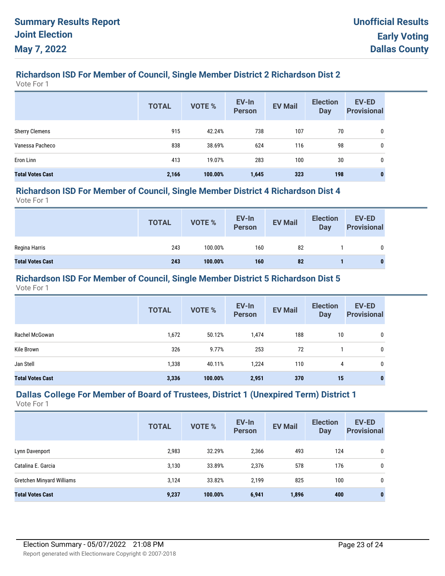## **Richardson ISD For Member of Council, Single Member District 2 Richardson Dist 2**

Vote For 1

|                         | <b>TOTAL</b> | <b>VOTE %</b> | EV-In<br><b>Person</b> | <b>EV Mail</b> | <b>Election</b><br><b>Day</b> | <b>EV-ED</b><br><b>Provisional</b> |
|-------------------------|--------------|---------------|------------------------|----------------|-------------------------------|------------------------------------|
| <b>Sherry Clemens</b>   | 915          | 42.24%        | 738                    | 107            | 70                            | 0                                  |
| Vanessa Pacheco         | 838          | 38.69%        | 624                    | 116            | 98                            | 0                                  |
| Eron Linn               | 413          | 19.07%        | 283                    | 100            | 30                            | 0                                  |
| <b>Total Votes Cast</b> | 2,166        | 100.00%       | 1,645                  | 323            | 198                           | 0                                  |

#### **Richardson ISD For Member of Council, Single Member District 4 Richardson Dist 4**

Vote For 1

|                         | <b>TOTAL</b> | <b>VOTE %</b> | EV-In<br>Person | <b>EV Mail</b> | <b>Election</b><br>Day | <b>EV-ED</b><br><b>Provisional</b> |
|-------------------------|--------------|---------------|-----------------|----------------|------------------------|------------------------------------|
| Regina Harris           | 243          | 100.00%       | 160             | 82             |                        | 0                                  |
| <b>Total Votes Cast</b> | 243          | 100.00%       | 160             | 82             |                        | 0                                  |

#### **Richardson ISD For Member of Council, Single Member District 5 Richardson Dist 5**

Vote For 1

|                         | <b>TOTAL</b> | VOTE %  | EV-In<br><b>Person</b> | <b>EV Mail</b> | <b>Election</b><br><b>Day</b> | EV-ED<br><b>Provisional</b> |
|-------------------------|--------------|---------|------------------------|----------------|-------------------------------|-----------------------------|
| Rachel McGowan          | 1,672        | 50.12%  | 1,474                  | 188            | 10                            | 0                           |
| Kile Brown              | 326          | 9.77%   | 253                    | 72             |                               | 0                           |
| Jan Stell               | 1,338        | 40.11%  | 1,224                  | 110            | 4                             | 0                           |
| <b>Total Votes Cast</b> | 3,336        | 100.00% | 2,951                  | 370            | 15                            | $\mathbf{0}$                |

# **Dallas College For Member of Board of Trustees, District 1 (Unexpired Term) District 1**

|                           | <b>TOTAL</b> | <b>VOTE %</b> | EV-In<br><b>Person</b> | <b>EV Mail</b> | <b>Election</b><br><b>Day</b> | <b>EV-ED</b><br><b>Provisional</b> |
|---------------------------|--------------|---------------|------------------------|----------------|-------------------------------|------------------------------------|
| Lynn Davenport            | 2,983        | 32.29%        | 2,366                  | 493            | 124                           | 0                                  |
| Catalina E. Garcia        | 3,130        | 33.89%        | 2,376                  | 578            | 176                           | 0                                  |
| Gretchen Minyard Williams | 3,124        | 33.82%        | 2,199                  | 825            | 100                           | 0                                  |
| <b>Total Votes Cast</b>   | 9,237        | 100.00%       | 6,941                  | 1,896          | 400                           | 0                                  |